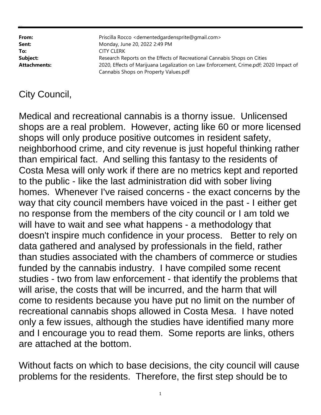| From:               | Priscilla Rocco < demented gardens prite@gmail.com >                                                                           |
|---------------------|--------------------------------------------------------------------------------------------------------------------------------|
| Sent:               | Monday, June 20, 2022 2:49 PM                                                                                                  |
| To:                 | <b>CITY CLERK</b>                                                                                                              |
| Subject:            | Research Reports on the Effects of Recreational Cannabis Shops on Cities                                                       |
| <b>Attachments:</b> | 2020, Effects of Marijuana Legalization on Law Enforcement, Crime.pdf; 2020 Impact of<br>Cannabis Shops on Property Values.pdf |

# City Council,

Medical and recreational cannabis is a thorny issue. Unlicensed shops are a real problem. However, acting like 60 or more licensed shops will only produce positive outcomes in resident safety, neighborhood crime, and city revenue is just hopeful thinking rather than empirical fact. And selling this fantasy to the residents of Costa Mesa will only work if there are no metrics kept and reported to the public - like the last administration did with sober living homes. Whenever I've raised concerns - the exact concerns by the way that city council members have voiced in the past - I either get no response from the members of the city council or I am told we will have to wait and see what happens - a methodology that doesn't inspire much confidence in your process. Better to rely on data gathered and analysed by professionals in the field, rather than studies associated with the chambers of commerce or studies funded by the cannabis industry. I have compiled some recent studies - two from law enforcement - that identify the problems that will arise, the costs that will be incurred, and the harm that will come to residents because you have put no limit on the number of recreational cannabis shops allowed in Costa Mesa. I have noted only a few issues, although the studies have identified many more and I encourage you to read them. Some reports are links, others are attached at the bottom.

Without facts on which to base decisions, the city council will cause problems for the residents. Therefore, the first step should be to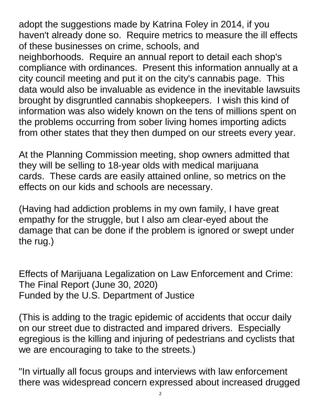adopt the suggestions made by Katrina Foley in 2014, if you haven't already done so. Require metrics to measure the ill effects of these businesses on crime, schools, and neighborhoods. Require an annual report to detail each shop's compliance with ordinances. Present this information annually at a city council meeting and put it on the city's cannabis page. This data would also be invaluable as evidence in the inevitable lawsuits brought by disgruntled cannabis shopkeepers. I wish this kind of information was also widely known on the tens of millions spent on the problems occurring from sober living homes importing adicts from other states that they then dumped on our streets every year.

At the Planning Commission meeting, shop owners admitted that they will be selling to 18-year olds with medical marijuana cards. These cards are easily attained online, so metrics on the effects on our kids and schools are necessary.

(Having had addiction problems in my own family, I have great empathy for the struggle, but I also am clear-eyed about the damage that can be done if the problem is ignored or swept under the rug.)

Effects of Marijuana Legalization on Law Enforcement and Crime: The Final Report (June 30, 2020) Funded by the U.S. Department of Justice

(This is adding to the tragic epidemic of accidents that occur daily on our street due to distracted and impared drivers. Especially egregious is the killing and injuring of pedestrians and cyclists that we are encouraging to take to the streets.)

"In virtually all focus groups and interviews with law enforcement there was widespread concern expressed about increased drugged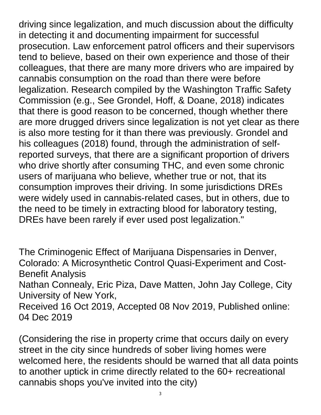driving since legalization, and much discussion about the difficulty in detecting it and documenting impairment for successful prosecution. Law enforcement patrol officers and their supervisors tend to believe, based on their own experience and those of their colleagues, that there are many more drivers who are impaired by cannabis consumption on the road than there were before legalization. Research compiled by the Washington Traffic Safety Commission (e.g., See Grondel, Hoff, & Doane, 2018) indicates that there is good reason to be concerned, though whether there are more drugged drivers since legalization is not yet clear as there is also more testing for it than there was previously. Grondel and his colleagues (2018) found, through the administration of selfreported surveys, that there are a significant proportion of drivers who drive shortly after consuming THC, and even some chronic users of marijuana who believe, whether true or not, that its consumption improves their driving. In some jurisdictions DREs were widely used in cannabis-related cases, but in others, due to the need to be timely in extracting blood for laboratory testing, DREs have been rarely if ever used post legalization."

The Criminogenic Effect of Marijuana Dispensaries in Denver, Colorado: A Microsynthetic Control Quasi-Experiment and Cost-Benefit Analysis Nathan Connealy, Eric Piza, Dave Matten, John Jay College, City University of New York, Received 16 Oct 2019, Accepted 08 Nov 2019, Published online: 04 Dec 2019

(Considering the rise in property crime that occurs daily on every street in the city since hundreds of sober living homes were welcomed here, the residents should be warned that all data points to another uptick in crime directly related to the 60+ recreational cannabis shops you've invited into the city)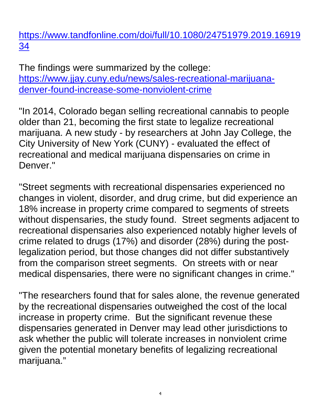https://www.tandfonline.com/doi/full/10.1080/24751979.2019.16919 34

The findings were summarized by the college: https://www.jjay.cuny.edu/news/sales-recreational-marijuanadenver-found-increase-some-nonviolent-crime

"In 2014, Colorado began selling recreational cannabis to people older than 21, becoming the first state to legalize recreational marijuana. A new study - by researchers at John Jay College, the City University of New York (CUNY) - evaluated the effect of recreational and medical marijuana dispensaries on crime in Denver."

"Street segments with recreational dispensaries experienced no changes in violent, disorder, and drug crime, but did experience an 18% increase in property crime compared to segments of streets without dispensaries, the study found. Street segments adjacent to recreational dispensaries also experienced notably higher levels of crime related to drugs (17%) and disorder (28%) during the postlegalization period, but those changes did not differ substantively from the comparison street segments. On streets with or near medical dispensaries, there were no significant changes in crime."

"The researchers found that for sales alone, the revenue generated by the recreational dispensaries outweighed the cost of the local increase in property crime. But the significant revenue these dispensaries generated in Denver may lead other jurisdictions to ask whether the public will tolerate increases in nonviolent crime given the potential monetary benefits of legalizing recreational marijuana."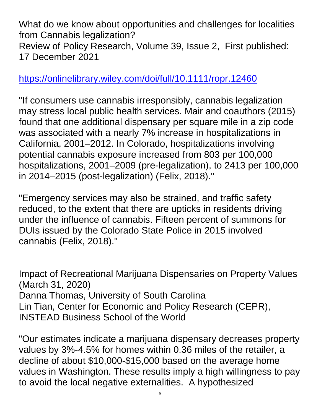What do we know about opportunities and challenges for localities from Cannabis legalization? Review of Policy Research, Volume 39, Issue 2, First published: 17 December 2021

https://onlinelibrary.wiley.com/doi/full/10.1111/ropr.12460

"If consumers use cannabis irresponsibly, cannabis legalization may stress local public health services. Mair and coauthors (2015) found that one additional dispensary per square mile in a zip code was associated with a nearly 7% increase in hospitalizations in California, 2001–2012. In Colorado, hospitalizations involving potential cannabis exposure increased from 803 per 100,000 hospitalizations, 2001–2009 (pre-legalization), to 2413 per 100,000 in 2014–2015 (post-legalization) (Felix, 2018)."

"Emergency services may also be strained, and traffic safety reduced, to the extent that there are upticks in residents driving under the influence of cannabis. Fifteen percent of summons for DUIs issued by the Colorado State Police in 2015 involved cannabis (Felix, 2018)."

Impact of Recreational Marijuana Dispensaries on Property Values (March 31, 2020) Danna Thomas, University of South Carolina Lin Tian, Center for Economic and Policy Research (CEPR), INSTEAD Business School of the World

"Our estimates indicate a marijuana dispensary decreases property values by 3%-4.5% for homes within 0.36 miles of the retailer, a decline of about \$10,000-\$15,000 based on the average home values in Washington. These results imply a high willingness to pay to avoid the local negative externalities. A hypothesized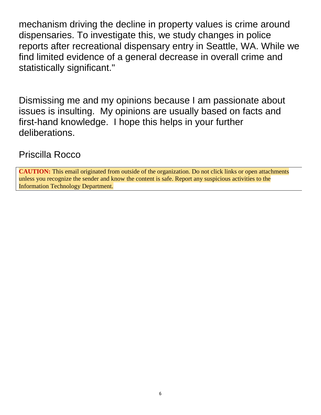mechanism driving the decline in property values is crime around dispensaries. To investigate this, we study changes in police reports after recreational dispensary entry in Seattle, WA. While we find limited evidence of a general decrease in overall crime and statistically significant."

Dismissing me and my opinions because I am passionate about issues is insulting. My opinions are usually based on facts and first-hand knowledge. I hope this helps in your further deliberations.

Priscilla Rocco

**CAUTION:** This email originated from outside of the organization. Do not click links or open attachments unless you recognize the sender and know the content is safe. Report any suspicious activities to the Information Technology Department.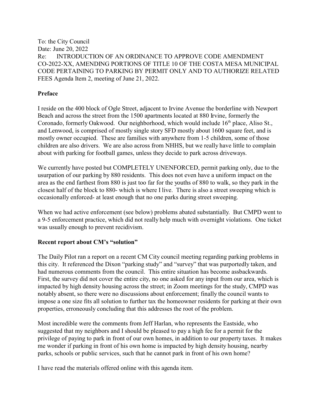To: the City Council Date: June 20, 2022 Re: INTRODUCTION OF AN ORDINANCE TO APPROVE CODE AMENDMENT CO-2022-XX, AMENDING PORTIONS OF TITLE 10 OF THE COSTA MESA MUNICIPAL CODE PERTAINING TO PARKING BY PERMIT ONLY AND TO AUTHORIZE RELATED FEES Agenda Item 2, meeting of June 21, 2022.

#### **Preface**

I reside on the 400 block of Ogle Street, adjacent to Irvine Avenue the borderline with Newport Beach and across the street from the 1500 apartments located at 880 Irvine, formerly the Coronado, formerly Oakwood. Our neighborhood, which would include 16<sup>th</sup> place, Aliso St., and Lenwood, is comprised of mostly single story SFD mostly about 1600 square feet, and is mostly owner occupied. These are families with anywhere from 1-5 children, some of those children are also drivers. We are also across from NHHS, but we really have little to complain about with parking for football games, unless they decide to park across driveways.

We currently have posted but COMPLETELY UNENFORCED, permit parking only, due to the usurpation of our parking by 880 residents. This does not even have a uniform impact on the area as the end farthest from 880 is just too far for the youths of 880 to walk, so they park in the closest half of the block to 880- which is where I live. There is also a street sweeping which is occasionally enforced- at least enough that no one parks during street sweeping.

When we had active enforcement (see below) problems abated substantially. But CMPD went to a 9-5 enforcement practice, which did not really help much with overnight violations. One ticket was usually enough to prevent recidivism.

#### **Recent report about CM's "solution"**

The Daily Pilot ran a report on a recent CM City council meeting regarding parking problems in this city. It referenced the Dixon "parking study" and "survey" that was purportedly taken, and had numerous comments from the council. This entire situation has become assbackwards. First, the survey did not cover the entire city, no one asked for any input from our area, which is impacted by high density housing across the street; in Zoom meetings for the study, CMPD was notably absent, so there were no discussions about enforcement; finally the council wants to impose a one size fits all solution to further tax the homeowner residents for parking at their own properties, erroneously concluding that this addresses the root of the problem.

Most incredible were the comments from Jeff Harlan, who represents the Eastside, who suggested that my neighbors and I should be pleased to pay a high fee for a permit for the privilege of paying to park in front of our own homes, in addition to our property taxes. It makes me wonder if parking in front of his own home is impacted by high density housing, nearby parks, schools or public services, such that he cannot park in front of his own home?

I have read the materials offered online with this agenda item.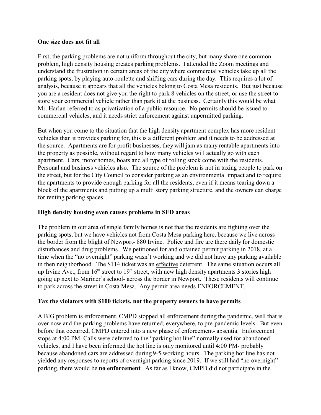#### **One size does not fit all**

First, the parking problems are not uniform throughout the city, but many share one common problem, high density housing creates parking problems. I attended the Zoom meetings and understand the frustration in certain areas of the city where commercial vehicles take up all the parking spots, by playing auto-roulette and shifting cars during the day. This requires a lot of analysis, because it appears that all the vehicles belong to Costa Mesa residents. But just because you are a resident does not give you the right to park 8 vehicles on the street, or use the street to store your commercial vehicle rather than park it at the business. Certainly this would be what Mr. Harlan referred to as privatization of a public resource. No permits should be issued to commercial vehicles, and it needs strict enforcement against unpermitted parking.

But when you come to the situation that the high density apartment complex has more resident vehicles than it provides parking for, this is a different problem and it needs to be addressed at the source. Apartments are for profit businesses, they will jam as many rentable apartments into the property as possible, without regard to how many vehicles will actually go with each apartment. Cars, motorhomes, boats and all type of rolling stock come with the residents. Personal and business vehicles also. The source of the problem is not in taxing people to park on the street, but for the City Council to consider parking as an environmental impact and to require the apartments to provide enough parking for all the residents, even if it means tearing down a block of the apartments and putting up a multi story parking structure, and the owners can charge for renting parking spaces.

#### **High density housing even causes problems in SFD areas**

The problem in our area of single family homes is not that the residents are fighting over the parking spots, but we have vehicles not from Costa Mesa parking here, because we live across the border from the blight of Newport- 880 Irvine. Police and fire are there daily for domestic disturbances and drug problems. We petitioned for and obtained permit parking in 2018, at a time when the "no overnight" parking wasn't working and we did not have any parking available in then neighborhood. The \$114 ticket was an effective deterrent. The same situation occurs all up Irvine Ave., from  $16<sup>th</sup>$  street to  $19<sup>th</sup>$  street, with new high density apartments 3 stories high going up next to Mariner's school- across the border in Newport. These residents will continue to park across the street in Costa Mesa. Any permit area needs ENFORCEMENT.

## **Tax the violators with \$100 tickets, not the property owners to have permits**

A BIG problem is enforcement. CMPD stopped all enforcement during the pandemic, well that is over now and the parking problems have returned, everywhere, to pre-pandemic levels. But even before that occurred, CMPD entered into a new phase of enforcement- absentia. Enforcement stops at 4:00 PM. Calls were deferred to the "parking hot line" normally used for abandoned vehicles, and I have been informed the hot line is only monitored until 4:00 PM- probably because abandoned cars are addressed during 9-5 working hours. The parking hot line has not yielded any responses to reports of overnight parking since 2019. If we still had "no overnight" parking, there would be **no enforcement**. As far as I know, CMPD did not participate in the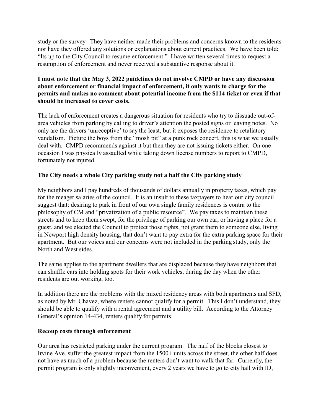study or the survey. They have neither made their problems and concerns known to the residents nor have they offered any solutions or explanations about current practices. We have been told: "Its up to the City Council to resume enforcement." I have written several times to request a resumption of enforcement and never received a substantive response about it.

## **I must note that the May 3, 2022 guidelines do not involve CMPD or have any discussion about enforcement or financial impact of enforcement, it only wants to charge for the permits and makes no comment about potential income from the \$114 ticket or even if that should be increased to cover costs.**

The lack of enforcement creates a dangerous situation for residents who try to dissuade out-ofarea vehicles from parking by calling to driver's attention the posted signs or leaving notes. No only are the drivers 'unreceptive' to say the least, but it exposes the residence to retaliatory vandalism. Picture the boys from the "mosh pit" at a punk rock concert, this is what we usually deal with. CMPD recommends against it but then they are not issuing tickets either. On one occasion I was physically assaulted while taking down license numbers to report to CMPD, fortunately not injured.

# **The City needs a whole City parking study not a half the City parking study**

My neighbors and I pay hundreds of thousands of dollars annually in property taxes, which pay for the meager salaries of the council. It is an insult to these taxpayers to hear our city council suggest that: desiring to park in front of our own single family residences is contra to the philosophy of CM and "privatization of a public resource". We pay taxes to maintain these streets and to keep them swept, for the privilege of parking our own car, or having a place for a guest, and we elected the Council to protect those rights, not grant them to someone else, living in Newport high density housing, that don't want to pay extra for the extra parking space for their apartment. But our voices and our concerns were not included in the parking study, only the North and West sides.

The same applies to the apartment dwellers that are displaced because they have neighbors that can shuffle cars into holding spots for their work vehicles, during the day when the other residents are out working, too.

In addition there are the problems with the mixed residency areas with both apartments and SFD, as noted by Mr. Chavez, where renters cannot qualify for a permit. This I don't understand, they should be able to qualify with a rental agreement and a utility bill. According to the Attorney General's opinion 14-434, renters qualify for permits.

## **Recoup costs through enforcement**

Our area has restricted parking under the current program. The half of the blocks closest to Irvine Ave. suffer the greatest impact from the 1500+ units across the street, the other half does not have as much of a problem because the renters don't want to walk that far. Currently, the permit program is only slightly inconvenient, every 2 years we have to go to city hall with ID,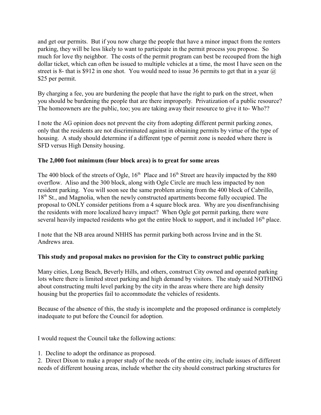and get our permits. But if you now charge the people that have a minor impact from the renters parking, they will be less likely to want to participate in the permit process you propose. So much for love thy neighbor. The costs of the permit program can best be recouped from the high dollar ticket, which can often be issued to multiple vehicles at a time, the most I have seen on the street is 8- that is \$912 in one shot. You would need to issue 36 permits to get that in a year  $\omega$ \$25 per permit.

By charging a fee, you are burdening the people that have the right to park on the street, when you should be burdening the people that are there improperly. Privatization of a public resource? The homeowners are the public, too; you are taking away their resource to give it to- Who??

I note the AG opinion does not prevent the city from adopting different permit parking zones, only that the residents are not discriminated against in obtaining permits by virtue of the type of housing. A study should determine if a different type of permit zone is needed where there is SFD versus High Density housing.

#### **The 2,000 foot minimum (four block area) is to great for some areas**

The 400 block of the streets of Ogle,  $16<sup>th</sup>$  Place and  $16<sup>th</sup>$  Street are heavily impacted by the 880 overflow. Aliso and the 300 block, along with Ogle Circle are much less impacted by non resident parking. You will soon see the same problem arising from the 400 block of Cabrillo, 18<sup>th</sup> St., and Magnolia, when the newly constructed apartments become fully occupied. The proposal to ONLY consider petitions from a 4 square block area. Why are you disenfranchising the residents with more localized heavy impact? When Ogle got permit parking, there were several heavily impacted residents who got the entire block to support, and it included 16<sup>th</sup> place.

I note that the NB area around NHHS has permit parking both across Irvine and in the St. Andrews area.

## **This study and proposal makes no provision for the City to construct public parking**

Many cities, Long Beach, Beverly Hills, and others, construct City owned and operated parking lots where there is limited street parking and high demand by visitors. The study said NOTHING about constructing multi level parking by the city in the areas where there are high density housing but the properties fail to accommodate the vehicles of residents.

Because of the absence of this, the study is incomplete and the proposed ordinance is completely inadequate to put before the Council for adoption.

I would request the Council take the following actions:

1. Decline to adopt the ordinance as proposed.

2. Direct Dixon to make a proper study of the needs of the entire city, include issues of different needs of different housing areas, include whether the city should construct parking structures for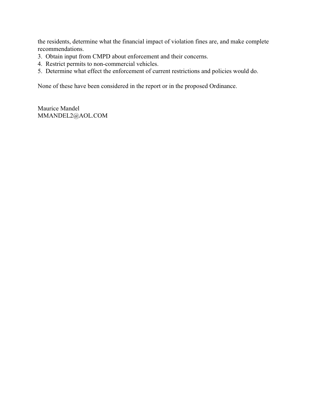the residents, determine what the financial impact of violation fines are, and make complete recommendations.

- 3. Obtain input from CMPD about enforcement and their concerns.
- 4. Restrict permits to non-commercial vehicles.
- 5. Determine what effect the enforcement of current restrictions and policies would do.

None of these have been considered in the report or in the proposed Ordinance.

Maurice Mandel MMANDEL2@AOL.COM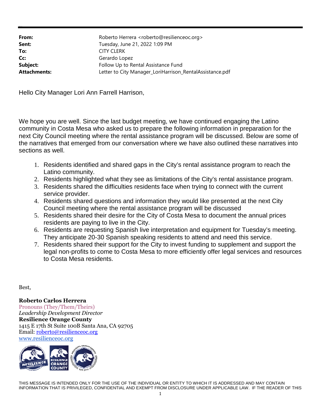| From:               | Roberto Herrera <roberto@resilienceoc.org></roberto@resilienceoc.org> |
|---------------------|-----------------------------------------------------------------------|
| Sent:               | Tuesday, June 21, 2022 1:09 PM                                        |
| To:                 | <b>CITY CLERK</b>                                                     |
| Cc:                 | Gerardo Lopez                                                         |
| Subject:            | Follow Up to Rental Assistance Fund                                   |
| <b>Attachments:</b> | Letter to City Manager_LoriHarrison_RentalAssistance.pdf              |
|                     |                                                                       |

Hello City Manager Lori Ann Farrell Harrison,

We hope you are well. Since the last budget meeting, we have continued engaging the Latino community in Costa Mesa who asked us to prepare the following information in preparation for the next City Council meeting where the rental assistance program will be discussed. Below are some of the narratives that emerged from our conversation where we have also outlined these narratives into sections as well.

- 1. Residents identified and shared gaps in the City's rental assistance program to reach the Latino community.
- 2. Residents highlighted what they see as limitations of the City's rental assistance program.
- 3. Residents shared the difficulties residents face when trying to connect with the current service provider.
- 4. Residents shared questions and information they would like presented at the next City Council meeting where the rental assistance program will be discussed
- 5. Residents shared their desire for the City of Costa Mesa to document the annual prices residents are paying to live in the City.
- 6. Residents are requesting Spanish live interpretation and equipment for Tuesday's meeting. They anticipate 20-30 Spanish speaking residents to attend and need this service.
- 7. Residents shared their support for the City to invest funding to supplement and support the legal non-profits to come to Costa Mesa to more efficiently offer legal services and resources to Costa Mesa residents.

Best,

**Roberto Carlos Herrera** Pronouns (They/Them/Theirs) *Leadership Development Director* **Resilience Orange County** 1415 E 17th St Suite 100B Santa Ana, CA 92705 Email: roberto@resilienceoc.org www.resilienceoc.org



THIS MESSAGE IS INTENDED ONLY FOR THE USE OF THE INDIVIDUAL OR ENTITY TO WHICH IT IS ADDRESSED AND MAY CONTAIN INFORMATION THAT IS PRIVILEGED, CONFIDENTIAL AND EXEMPT FROM DISCLOSURE UNDER APPLICABLE LAW. IF THE READER OF THIS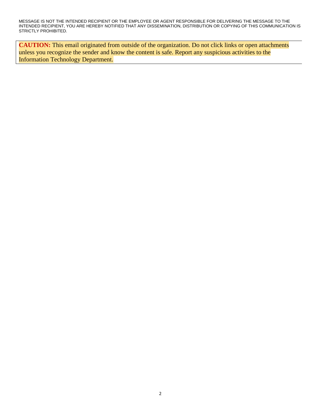MESSAGE IS NOT THE INTENDED RECIPIENT OR THE EMPLOYEE OR AGENT RESPONSIBLE FOR DELIVERING THE MESSAGE TO THE INTENDED RECIPIENT, YOU ARE HEREBY NOTIFIED THAT ANY DISSEMINATION, DISTRIBUTION OR COPYING OF THIS COMMUNICATION IS STRICTLY PROHIBITED.

**CAUTION:** This email originated from outside of the organization. Do not click links or open attachments unless you recognize the sender and know the content is safe. Report any suspicious activities to the Information Technology Department.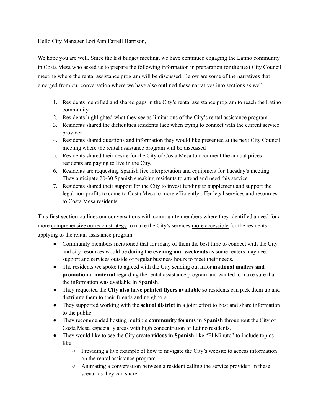Hello City Manager Lori Ann Farrell Harrison,

We hope you are well. Since the last budget meeting, we have continued engaging the Latino community in Costa Mesa who asked us to prepare the following information in preparation for the next City Council meeting where the rental assistance program will be discussed. Below are some of the narratives that emerged from our conversation where we have also outlined these narratives into sections as well.

- 1. Residents identified and shared gaps in the City's rental assistance program to reach the Latino community.
- 2. Residents highlighted what they see as limitations of the City's rental assistance program.
- 3. Residents shared the difficulties residents face when trying to connect with the current service provider.
- 4. Residents shared questions and information they would like presented at the next City Council meeting where the rental assistance program will be discussed
- 5. Residents shared their desire for the City of Costa Mesa to document the annual prices residents are paying to live in the City.
- 6. Residents are requesting Spanish live interpretation and equipment for Tuesday's meeting. They anticipate 20-30 Spanish speaking residents to attend and need this service.
- 7. Residents shared their support for the City to invest funding to supplement and support the legal non-profits to come to Costa Mesa to more efficiently offer legal services and resources to Costa Mesa residents.

This **first section** outlines our conversations with community members where they identified a need for a more comprehensive outreach strategy to make the City's services more accessible for the residents applying to the rental assistance program.

- Community members mentioned that for many of them the best time to connect with the City and city resources would be during the **evening and weekends** as some renters may need support and services outside of regular business hours to meet their needs.
- The residents we spoke to agreed with the City sending out **informational mailers and promotional material** regarding the rental assistance program and wanted to make sure that the information was available **in Spanish**.
- They requested the **City also have printed flyers available** so residents can pick them up and distribute them to their friends and neighbors.
- They supported working with the **school district** in a joint effort to host and share information to the public.
- They recommended hosting multiple **community forums in Spanish** throughout the City of Costa Mesa, especially areas with high concentration of Latino residents.
- They would like to see the City create **videos in Spanish** like "El Minuto" to include topics like
	- Providing a live example of how to navigate the City's website to access information on the rental assistance program
	- Animating a conversation between a resident calling the service provider. In these scenarios they can share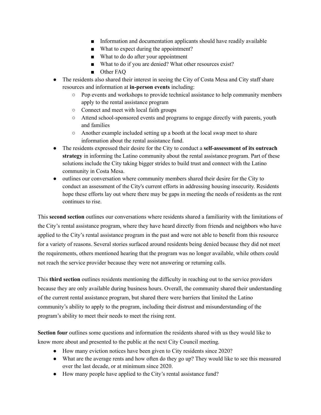- Information and documentation applicants should have readily available
- What to expect during the appointment?
- What to do do after your appointment
- What to do if you are denied? What other resources exist?
- Other FAQ
- The residents also shared their interest in seeing the City of Costa Mesa and City staff share resources and information at **in-person events** including:
	- Pop events and workshops to provide technical assistance to help community members apply to the rental assistance program
	- Connect and meet with local faith groups
	- Attend school-sponsored events and programs to engage directly with parents, youth and families
	- Another example included setting up a booth at the local swap meet to share information about the rental assistance fund.
- The residents expressed their desire for the City to conduct a **self-assessment of its outreach strategy** in informing the Latino community about the rental assistance program. Part of these solutions include the City taking bigger strides to build trust and connect with the Latino community in Costa Mesa.
- outlines our conversation where community members shared their desire for the City to conduct an assessment of the City's current efforts in addressing housing insecurity. Residents hope these efforts lay out where there may be gaps in meeting the needs of residents as the rent continues to rise.

This **second section** outlines our conversations where residents shared a familiarity with the limitations of the City's rental assistance program, where they have heard directly from friends and neighbors who have applied to the City's rental assistance program in the past and were not able to benefit from this resource for a variety of reasons. Several stories surfaced around residents being denied because they did not meet the requirements, others mentioned hearing that the program was no longer available, while others could not reach the service provider because they were not answering or returning calls.

This **third section** outlines residents mentioning the difficulty in reaching out to the service providers because they are only available during business hours. Overall, the community shared their understanding of the current rental assistance program, but shared there were barriers that limited the Latino community's ability to apply to the program, including their distrust and misunderstanding of the program's ability to meet their needs to meet the rising rent.

**Section four** outlines some questions and information the residents shared with us they would like to know more about and presented to the public at the next City Council meeting.

- How many eviction notices have been given to City residents since 2020?
- What are the average rents and how often do they go up? They would like to see this measured over the last decade, or at minimum since 2020.
- How many people have applied to the City's rental assistance fund?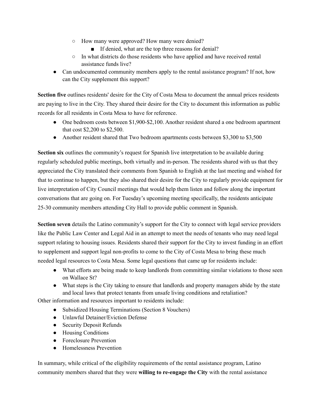- How many were approved? How many were denied?
	- If denied, what are the top three reasons for denial?
- In what districts do those residents who have applied and have received rental assistance funds live?
- Can undocumented community members apply to the rental assistance program? If not, how can the City supplement this support?

**Section five** outlines residents' desire for the City of Costa Mesa to document the annual prices residents are paying to live in the City. They shared their desire for the City to document this information as public records for all residents in Costa Mesa to have for reference.

- One bedroom costs between \$1,900-\$2,100. Another resident shared a one bedroom apartment that cost \$2,200 to \$2,500.
- Another resident shared that Two bedroom apartments costs between \$3,300 to \$3,500

**Section six** outlines the community's request for Spanish live interpretation to be available during regularly scheduled public meetings, both virtually and in-person. The residents shared with us that they appreciated the City translated their comments from Spanish to English at the last meeting and wished for that to continue to happen, but they also shared their desire for the City to regularly provide equipment for live interpretation of City Council meetings that would help them listen and follow along the important conversations that are going on. For Tuesday's upcoming meeting specifically, the residents anticipate 25-30 community members attending City Hall to provide public comment in Spanish.

**Section seven** details the Latino community's support for the City to connect with legal service providers like the Public Law Center and Legal Aid in an attempt to meet the needs of tenants who may need legal support relating to housing issues. Residents shared their support for the City to invest funding in an effort to supplement and support legal non-profits to come to the City of Costa Mesa to bring these much needed legal resources to Costa Mesa. Some legal questions that came up for residents include:

- What efforts are being made to keep landlords from committing similar violations to those seen on Wallace St?
- What steps is the City taking to ensure that landlords and property managers abide by the state and local laws that protect tenants from unsafe living conditions and retaliation?

Other information and resources important to residents include:

- Subsidized Housing Terminations (Section 8 Vouchers)
- Unlawful Detainer/Eviction Defense
- Security Deposit Refunds
- Housing Conditions
- Foreclosure Prevention
- Homelessness Prevention

In summary, while critical of the eligibility requirements of the rental assistance program, Latino community members shared that they were **willing to re-engage the City** with the rental assistance